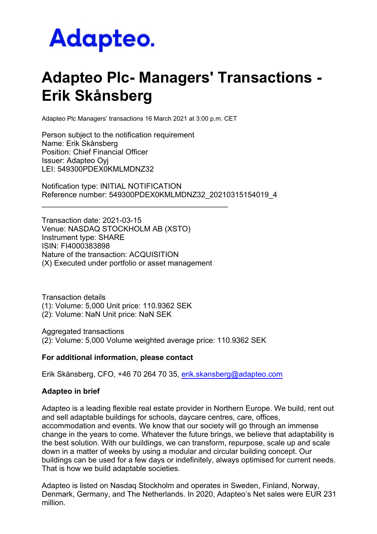## Adapteo.

## **Adapteo Plc- Managers' Transactions - Erik Skånsberg**

Adapteo Plc Managers' transactions 16 March 2021 at 3:00 p.m. CET

Person subject to the notification requirement Name: Erik Skånsberg Position: Chief Financial Officer Issuer: Adapteo Oyj LEI: 549300PDEX0KMLMDNZ32

Notification type: INITIAL NOTIFICATION Reference number: 549300PDEX0KMLMDNZ32\_20210315154019\_4

Transaction date: 2021-03-15 Venue: NASDAQ STOCKHOLM AB (XSTO) Instrument type: SHARE ISIN: FI4000383898 Nature of the transaction: ACQUISITION (X) Executed under portfolio or asset management

\_\_\_\_\_\_\_\_\_\_\_\_\_\_\_\_\_\_\_\_\_\_\_\_\_\_\_\_\_\_\_\_\_\_\_\_\_\_\_\_\_\_\_\_

Transaction details (1): Volume: 5,000 Unit price: 110.9362 SEK (2): Volume: NaN Unit price: NaN SEK

Aggregated transactions (2): Volume: 5,000 Volume weighted average price: 110.9362 SEK

## **For additional information, please contact**

Erik Skånsberg, CFO, +46 70 264 70 35, [erik.skansberg@adapteo.com](mailto:erik.skansberg@adapteo.com)

## **Adapteo in brief**

Adapteo is a leading flexible real estate provider in Northern Europe. We build, rent out and sell adaptable buildings for schools, daycare centres, care, offices, accommodation and events. We know that our society will go through an immense change in the years to come. Whatever the future brings, we believe that adaptability is the best solution. With our buildings, we can transform, repurpose, scale up and scale down in a matter of weeks by using a modular and circular building concept. Our buildings can be used for a few days or indefinitely, always optimised for current needs. That is how we build adaptable societies.

Adapteo is listed on Nasdaq Stockholm and operates in Sweden, Finland, Norway, Denmark, Germany, and The Netherlands. In 2020, Adapteo's Net sales were EUR 231 million.